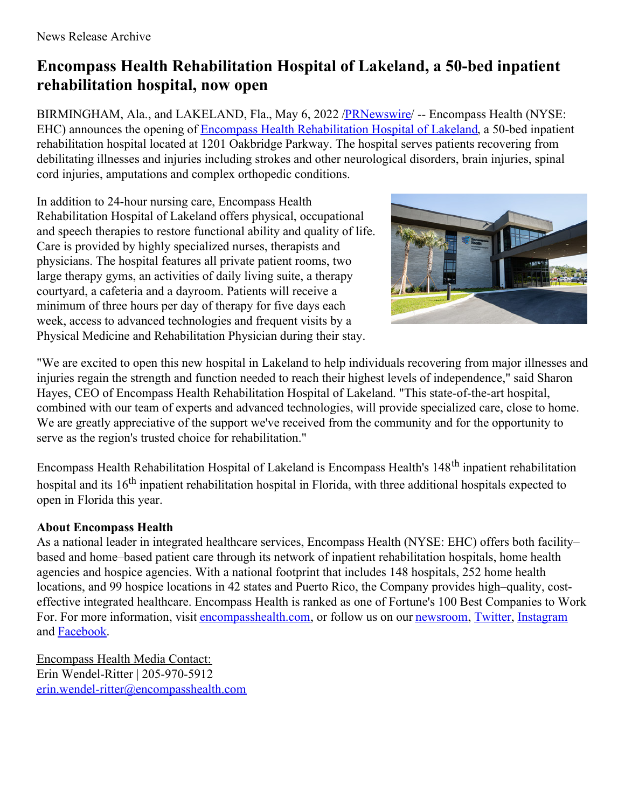## **Encompass Health Rehabilitation Hospital of Lakeland, a 50-bed inpatient rehabilitation hospital, now open**

BIRMINGHAM, Ala., and LAKELAND, Fla., May 6, 2022 / PRNewswire / -- Encompass Health (NYSE: EHC) announces the opening of Encompass Health [Rehabilitation](https://c212.net/c/link/?t=0&l=en&o=3528678-1&h=1787982018&u=https%3A%2F%2Fencompasshealth.com%2Flakelandrehab&a=Encompass+Health+Rehabilitation+Hospital+of+Lakeland) Hospital of Lakeland, a 50-bed inpatient rehabilitation hospital located at 1201 Oakbridge Parkway. The hospital serves patients recovering from debilitating illnesses and injuries including strokes and other neurological disorders, brain injuries, spinal cord injuries, amputations and complex orthopedic conditions.

In addition to 24-hour nursing care, Encompass Health Rehabilitation Hospital of Lakeland offers physical, occupational and speech therapies to restore functional ability and quality of life. Care is provided by highly specialized nurses, therapists and physicians. The hospital features all private patient rooms, two large therapy gyms, an activities of daily living suite, a therapy courtyard, a cafeteria and a dayroom. Patients will receive a minimum of three hours per day of therapy for five days each week, access to advanced technologies and frequent visits by a Physical Medicine and Rehabilitation Physician during their stay.



"We are excited to open this new hospital in Lakeland to help individuals recovering from major illnesses and injuries regain the strength and function needed to reach their highest levels of independence," said Sharon Hayes, CEO of Encompass Health Rehabilitation Hospital of Lakeland. "This state-of-the-art hospital, combined with our team of experts and advanced technologies, will provide specialized care, close to home. We are greatly appreciative of the support we've received from the community and for the opportunity to serve as the region's trusted choice for rehabilitation."

Encompass Health Rehabilitation Hospital of Lakeland is Encompass Health's 148<sup>th</sup> inpatient rehabilitation hospital and its 16<sup>th</sup> inpatient rehabilitation hospital in Florida, with three additional hospitals expected to open in Florida this year.

## **About Encompass Health**

As a national leader in integrated healthcare services, Encompass Health (NYSE: EHC) offers both facility– based and home–based patient care through its network of inpatient rehabilitation hospitals, home health agencies and hospice agencies. With a national footprint that includes 148 hospitals, 252 home health locations, and 99 hospice locations in 42 states and Puerto Rico, the Company provides high–quality, costeffective integrated healthcare. Encompass Health is ranked as one of Fortune's 100 Best Companies to Work For. For more information, visit [encompasshealth.com](https://c212.net/c/link/?t=0&l=en&o=3528678-1&h=1588918015&u=http%3A%2F%2Fwww.encompasshealth.com%2F&a=encompasshealth.com), or follow us on our [newsroom](https://c212.net/c/link/?t=0&l=en&o=3528678-1&h=1087726901&u=http%3A%2F%2Fblog.encompasshealth.com%2F&a=newsroom), [Twitter](https://c212.net/c/link/?t=0&l=en&o=3528678-1&h=2162260825&u=https%3A%2F%2Ftwitter.com%2Fencompasshlth&a=Twitter), [Instagram](https://c212.net/c/link/?t=0&l=en&o=3528678-1&h=685794249&u=https%3A%2F%2Fwww.instagram.com%2Fencompasshlth%2F&a=Instagram) and [Facebook](https://c212.net/c/link/?t=0&l=en&o=3528678-1&h=1483628369&u=https%3A%2F%2Fwww.facebook.com%2FEncompassHealth%2F&a=Facebook).

Encompass Health Media Contact: Erin Wendel-Ritter | 205-970-5912 [erin.wendel-ritter@encompasshealth.com](mailto:erin.wendel-ritter@encompasshealth.com)